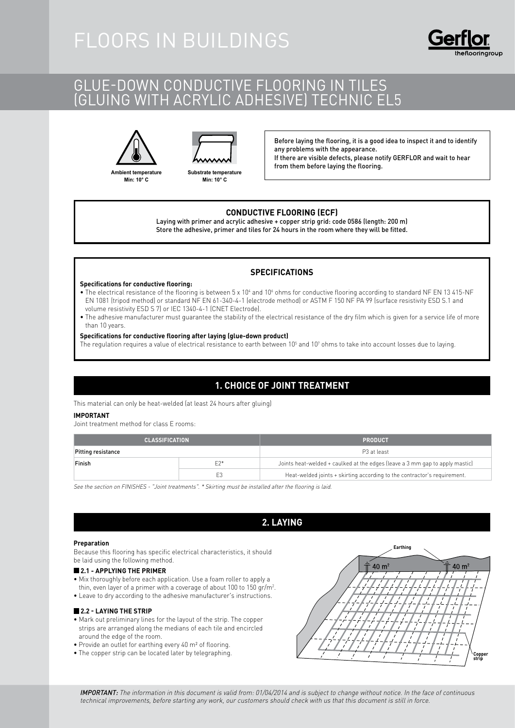## GLUE-DOWN CONDUCTIVE FLOORING IN TILES (gluing with acrylic adhesive) Technic EL5





**Ambient temperature Min: 10° C**



Before laying the flooring, it is a good idea to inspect it and to identify any problems with the appearance. If there are visible defects, please notify GERFLOR and wait to hear from them before laying the flooring.

#### **CONDUCTIVE FLOORING (ECF)**

Laying with primer and acrylic adhesive + copper strip grid: code 0586 (length: 200 m) Store the adhesive, primer and tiles for 24 hours in the room where they will be fitted.

#### **SPECIFICATIONS**

#### **Specifications for conductive flooring:**

- The electrical resistance of the flooring is between 5 x 10<sup>4</sup> and 10<sup>6</sup> ohms for conductive flooring according to standard NF EN 13 415-NF EN 1081 (tripod method) or standard NF EN 61-340-4-1 (electrode method) or ASTM F 150 NF PA 99 (surface resistivity ESD S.1 and volume resistivity ESD S 7) or IEC 1340-4-1 (CNET Electrode).
- The adhesive manufacturer must guarantee the stability of the electrical resistance of the dry film which is given for a service life of more than 10 years.

#### **Specifications for conductive flooring after laying (glue-down product)**

The regulation requires a value of electrical resistance to earth between 10 $^5$  and 10 $^7$  ohms to take into account losses due to laying.

### **1. CHOICE OF JOINT TREATMENT**

This material can only be heat-welded (at least 24 hours after gluing)

#### **IMPORTANT**

Joint treatment method for class E rooms:

| <b>CLASSIFICATION</b> |                | <b>PRODUCT</b>                                                               |
|-----------------------|----------------|------------------------------------------------------------------------------|
| Pitting resistance    |                | P <sub>3</sub> at least                                                      |
| Finish                | $F2*$          | Joints heat-welded + caulked at the edges (leave a 3 mm gap to apply mastic) |
|                       | E <sub>3</sub> | Heat-welded joints + skirting according to the contractor's requirement.     |

See the section on FINISHES - "Joint treatments". \* Skirting must be installed after the flooring is laid.

### **2. LAYING**

#### **Preparation**

Because this flooring has specific electrical characteristics, it should be laid using the following method.

#### **2.1 - APPLYING THE PRIMER**

- Mix thoroughly before each application. Use a foam roller to apply a thin, even layer of a primer with a coverage of about 100 to 150 gr/m2 .
- Leave to dry according to the adhesive manufacturer's instructions.

#### **2.2 - Laying the strip**

- Mark out preliminary lines for the layout of the strip. The copper strips are arranged along the medians of each tile and encircled around the edge of the room.
- Provide an outlet for earthing every 40 m² of flooring.
- The copper strip can be located later by telegraphing.



IMPORTANT: The information in this document is valid from: 01/04/2014 and is subject to change without notice. In the face of continuous technical improvements, before starting any work, our customers should check with us that this document is still in force.